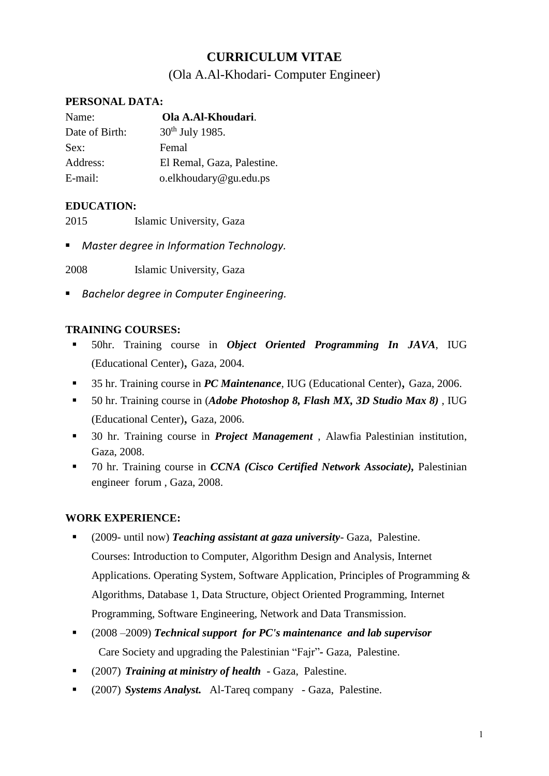# **CURRICULUM VITAE**

## (Ola A.Al-Khodari- Computer Engineer)

### **PERSONAL DATA:**

| Name:          | Ola A.Al-Khoudari.          |
|----------------|-----------------------------|
| Date of Birth: | 30 <sup>th</sup> July 1985. |
| Sex:           | Femal                       |
| Address:       | El Remal, Gaza, Palestine.  |
| E-mail:        | o.elkhoudary@gu.edu.ps      |

## **EDUCATION:**

2015 Islamic University, Gaza

■ *Master degree in Information Technology.* 

2008 Islamic University, Gaza

▪ *Bachelor degree in Computer Engineering.*

## **TRAINING COURSES:**

- 50hr. Training course in *Object Oriented Programming In JAVA*, IUG (Educational Center), Gaza, 2004.
- 35 hr. Training course in *PC Maintenance*, IUG (Educational Center), Gaza, 2006.
- 50 hr. Training course in (*Adobe Photoshop 8, Flash MX, 3D Studio Max 8)* , IUG (Educational Center), Gaza, 2006.
- 30 hr. Training course in *Project Management* , Alawfia Palestinian institution, Gaza, 2008.
- 70 hr. Training course in *CCNA (Cisco Certified Network Associate),* Palestinian engineer forum , Gaza, 2008.

### **WORK EXPERIENCE:**

- (2009- until now) *Teaching assistant at gaza university* Gaza, Palestine. Courses: Introduction to Computer, Algorithm Design and Analysis, Internet Applications. Operating System, Software Application, Principles of Programming & Algorithms, Database 1, Data Structure, Object Oriented Programming, Internet Programming, Software Engineering, Network and Data Transmission.
- (2008 –2009) *Technical support for PC's maintenance and lab supervisor* Care Society and upgrading the Palestinian "Fajr"*-* Gaza, Palestine.
- (2007) *Training at ministry of health*  Gaza, Palestine.
- (2007) *Systems Analyst.* Al-Tareq company Gaza, Palestine.